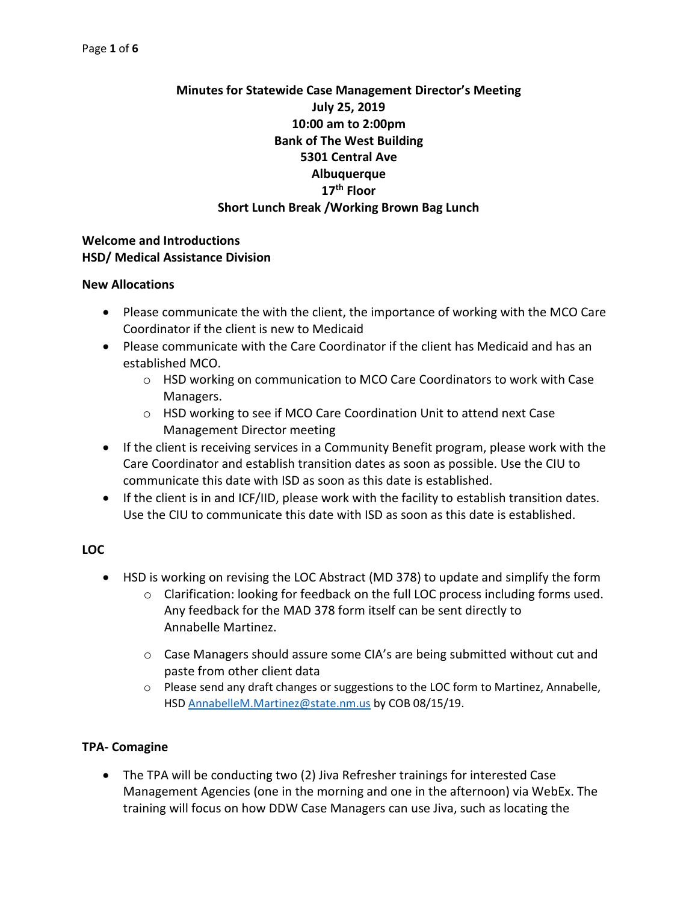# **Minutes for Statewide Case Management Director's Meeting July 25, 2019 10:00 am to 2:00pm Bank of The West Building 5301 Central Ave Albuquerque 17th Floor Short Lunch Break /Working Brown Bag Lunch**

### **Welcome and Introductions HSD/ Medical Assistance Division**

#### **New Allocations**

- Please communicate the with the client, the importance of working with the MCO Care Coordinator if the client is new to Medicaid
- Please communicate with the Care Coordinator if the client has Medicaid and has an established MCO.
	- o HSD working on communication to MCO Care Coordinators to work with Case Managers.
	- o HSD working to see if MCO Care Coordination Unit to attend next Case Management Director meeting
- If the client is receiving services in a Community Benefit program, please work with the Care Coordinator and establish transition dates as soon as possible. Use the CIU to communicate this date with ISD as soon as this date is established.
- If the client is in and ICF/IID, please work with the facility to establish transition dates. Use the CIU to communicate this date with ISD as soon as this date is established.

#### **LOC**

- HSD is working on revising the LOC Abstract (MD 378) to update and simplify the form
	- $\circ$  Clarification: looking for feedback on the full LOC process including forms used. Any feedback for the MAD 378 form itself can be sent directly to Annabelle Martinez.
	- $\circ$  Case Managers should assure some CIA's are being submitted without cut and paste from other client data
	- $\circ$  Please send any draft changes or suggestions to the LOC form to Martinez, Annabelle, HSD [AnnabelleM.Martinez@state.nm.us](mailto:AnnabelleM.Martinez@state.nm.us) by COB 08/15/19.

## **TPA- Comagine**

• The TPA will be conducting two (2) Jiva Refresher trainings for interested Case Management Agencies (one in the morning and one in the afternoon) via WebEx. The training will focus on how DDW Case Managers can use Jiva, such as locating the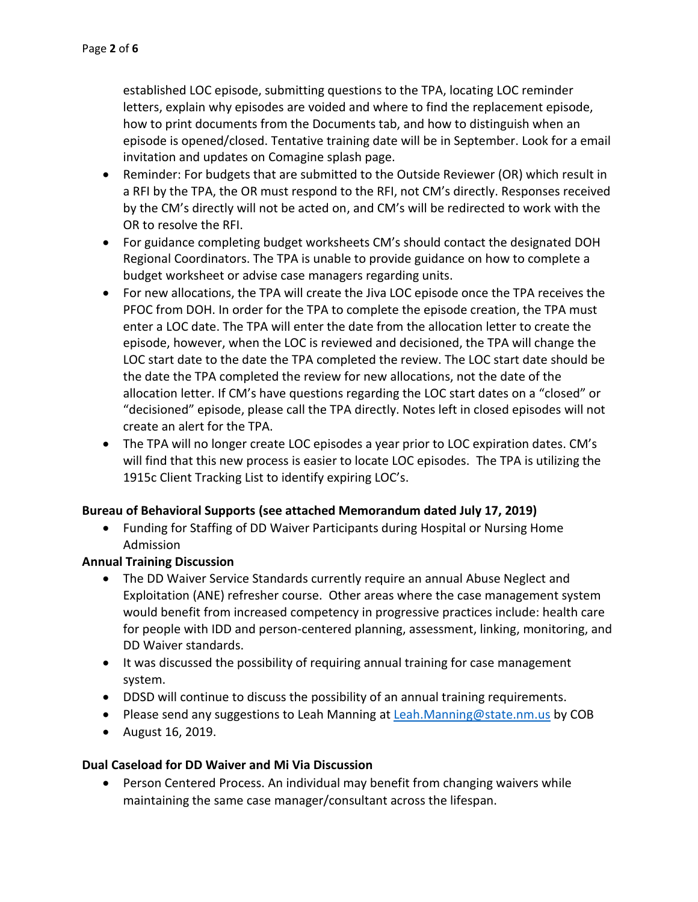established LOC episode, submitting questions to the TPA, locating LOC reminder letters, explain why episodes are voided and where to find the replacement episode, how to print documents from the Documents tab, and how to distinguish when an episode is opened/closed. Tentative training date will be in September. Look for a email invitation and updates on Comagine splash page.

- Reminder: For budgets that are submitted to the Outside Reviewer (OR) which result in a RFI by the TPA, the OR must respond to the RFI, not CM's directly. Responses received by the CM's directly will not be acted on, and CM's will be redirected to work with the OR to resolve the RFI.
- For guidance completing budget worksheets CM's should contact the designated DOH Regional Coordinators. The TPA is unable to provide guidance on how to complete a budget worksheet or advise case managers regarding units.
- For new allocations, the TPA will create the Jiva LOC episode once the TPA receives the PFOC from DOH. In order for the TPA to complete the episode creation, the TPA must enter a LOC date. The TPA will enter the date from the allocation letter to create the episode, however, when the LOC is reviewed and decisioned, the TPA will change the LOC start date to the date the TPA completed the review. The LOC start date should be the date the TPA completed the review for new allocations, not the date of the allocation letter. If CM's have questions regarding the LOC start dates on a "closed" or "decisioned" episode, please call the TPA directly. Notes left in closed episodes will not create an alert for the TPA.
- The TPA will no longer create LOC episodes a year prior to LOC expiration dates. CM's will find that this new process is easier to locate LOC episodes. The TPA is utilizing the 1915c Client Tracking List to identify expiring LOC's.

## **Bureau of Behavioral Supports (see attached Memorandum dated July 17, 2019)**

• Funding for Staffing of DD Waiver Participants during Hospital or Nursing Home Admission

## **Annual Training Discussion**

- The DD Waiver Service Standards currently require an annual Abuse Neglect and Exploitation (ANE) refresher course. Other areas where the case management system would benefit from increased competency in progressive practices include: health care for people with IDD and person-centered planning, assessment, linking, monitoring, and DD Waiver standards.
- It was discussed the possibility of requiring annual training for case management system.
- DDSD will continue to discuss the possibility of an annual training requirements.
- Please send any suggestions to Leah Manning at [Leah.Manning@state.nm.us](mailto:Leah.Manning@state.nm.us) by COB
- August 16, 2019.

## **Dual Caseload for DD Waiver and Mi Via Discussion**

Person Centered Process. An individual may benefit from changing waivers while maintaining the same case manager/consultant across the lifespan.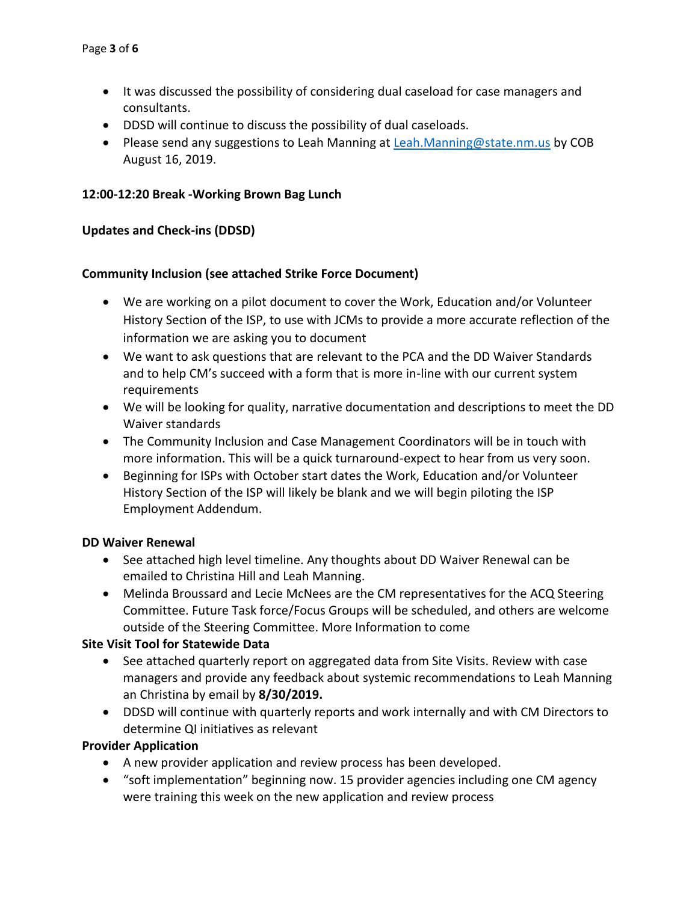- It was discussed the possibility of considering dual caseload for case managers and consultants.
- DDSD will continue to discuss the possibility of dual caseloads.
- Please send any suggestions to Leah Manning at [Leah.Manning@state.nm.us](mailto:Leah.Manning@state.nm.us) by COB August 16, 2019.

### **12:00-12:20 Break -Working Brown Bag Lunch**

### **Updates and Check-ins (DDSD)**

### **Community Inclusion (see attached Strike Force Document)**

- We are working on a pilot document to cover the Work, Education and/or Volunteer History Section of the ISP, to use with JCMs to provide a more accurate reflection of the information we are asking you to document
- We want to ask questions that are relevant to the PCA and the DD Waiver Standards and to help CM's succeed with a form that is more in-line with our current system requirements
- We will be looking for quality, narrative documentation and descriptions to meet the DD Waiver standards
- The Community Inclusion and Case Management Coordinators will be in touch with more information. This will be a quick turnaround-expect to hear from us very soon.
- Beginning for ISPs with October start dates the Work, Education and/or Volunteer History Section of the ISP will likely be blank and we will begin piloting the ISP Employment Addendum.

#### **DD Waiver Renewal**

- See attached high level timeline. Any thoughts about DD Waiver Renewal can be emailed to Christina Hill and Leah Manning.
- Melinda Broussard and Lecie McNees are the CM representatives for the ACQ Steering Committee. Future Task force/Focus Groups will be scheduled, and others are welcome outside of the Steering Committee. More Information to come

## **Site Visit Tool for Statewide Data**

- See attached quarterly report on aggregated data from Site Visits. Review with case managers and provide any feedback about systemic recommendations to Leah Manning an Christina by email by **8/30/2019.**
- DDSD will continue with quarterly reports and work internally and with CM Directors to determine QI initiatives as relevant

#### **Provider Application**

- A new provider application and review process has been developed.
- "soft implementation" beginning now. 15 provider agencies including one CM agency were training this week on the new application and review process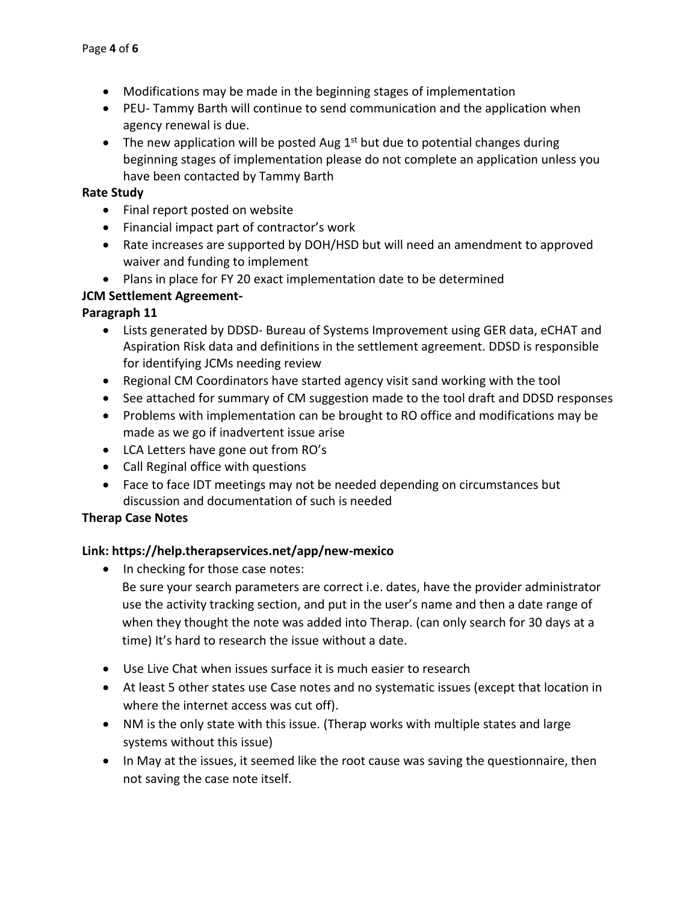- Modifications may be made in the beginning stages of implementation
- PEU- Tammy Barth will continue to send communication and the application when agency renewal is due.
- The new application will be posted Aug  $1<sup>st</sup>$  but due to potential changes during beginning stages of implementation please do not complete an application unless you have been contacted by Tammy Barth

#### **Rate Study**

- Final report posted on website
- Financial impact part of contractor's work
- Rate increases are supported by DOH/HSD but will need an amendment to approved waiver and funding to implement
- Plans in place for FY 20 exact implementation date to be determined

### **JCM Settlement Agreement-**

### **Paragraph 11**

- Lists generated by DDSD- Bureau of Systems Improvement using GER data, eCHAT and Aspiration Risk data and definitions in the settlement agreement. DDSD is responsible for identifying JCMs needing review
- Regional CM Coordinators have started agency visit sand working with the tool
- See attached for summary of CM suggestion made to the tool draft and DDSD responses
- Problems with implementation can be brought to RO office and modifications may be made as we go if inadvertent issue arise
- LCA Letters have gone out from RO's
- Call Reginal office with questions
- Face to face IDT meetings may not be needed depending on circumstances but discussion and documentation of such is needed

#### **Therap Case Notes**

#### **Link: https://help.therapservices.net/app/new-mexico**

- In checking for those case notes:
	- Be sure your search parameters are correct i.e. dates, have the provider administrator use the activity tracking section, and put in the user's name and then a date range of when they thought the note was added into Therap. (can only search for 30 days at a time) It's hard to research the issue without a date.
- Use Live Chat when issues surface it is much easier to research
- At least 5 other states use Case notes and no systematic issues (except that location in where the internet access was cut off).
- NM is the only state with this issue. (Therap works with multiple states and large systems without this issue)
- In May at the issues, it seemed like the root cause was saving the questionnaire, then not saving the case note itself.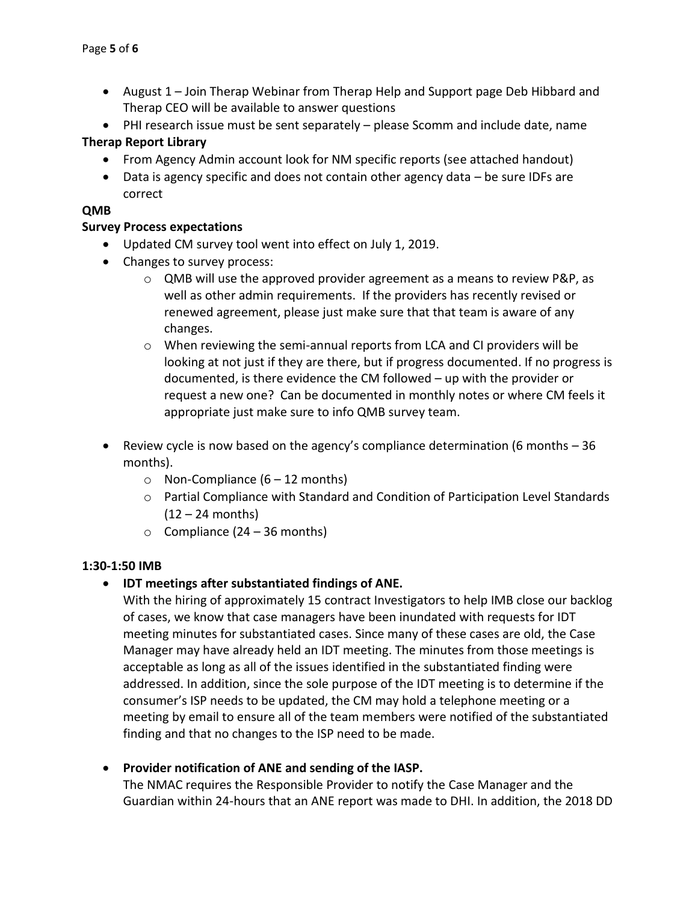- August 1 Join Therap Webinar from Therap Help and Support page Deb Hibbard and Therap CEO will be available to answer questions
- PHI research issue must be sent separately please Scomm and include date, name

# **Therap Report Library**

- From Agency Admin account look for NM specific reports (see attached handout)
- Data is agency specific and does not contain other agency data be sure IDFs are correct

## **QMB**

## **Survey Process expectations**

- Updated CM survey tool went into effect on July 1, 2019.
- Changes to survey process:
	- $\circ$  QMB will use the approved provider agreement as a means to review P&P, as well as other admin requirements. If the providers has recently revised or renewed agreement, please just make sure that that team is aware of any changes.
	- $\circ$  When reviewing the semi-annual reports from LCA and CI providers will be looking at not just if they are there, but if progress documented. If no progress is documented, is there evidence the CM followed – up with the provider or request a new one? Can be documented in monthly notes or where CM feels it appropriate just make sure to info QMB survey team.
- Review cycle is now based on the agency's compliance determination (6 months 36 months).
	- $\circ$  Non-Compliance (6 12 months)
	- $\circ$  Partial Compliance with Standard and Condition of Participation Level Standards  $(12 - 24$  months)
	- $\circ$  Compliance (24 36 months)

## **1:30-1:50 IMB**

• **IDT meetings after substantiated findings of ANE.** 

With the hiring of approximately 15 contract Investigators to help IMB close our backlog of cases, we know that case managers have been inundated with requests for IDT meeting minutes for substantiated cases. Since many of these cases are old, the Case Manager may have already held an IDT meeting. The minutes from those meetings is acceptable as long as all of the issues identified in the substantiated finding were addressed. In addition, since the sole purpose of the IDT meeting is to determine if the consumer's ISP needs to be updated, the CM may hold a telephone meeting or a meeting by email to ensure all of the team members were notified of the substantiated finding and that no changes to the ISP need to be made.

## • **Provider notification of ANE and sending of the IASP.**

The NMAC requires the Responsible Provider to notify the Case Manager and the Guardian within 24-hours that an ANE report was made to DHI. In addition, the 2018 DD